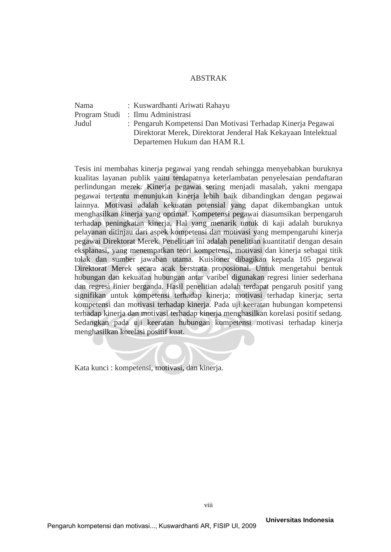## ABSTRAK

| Nama  | : Kuswardhanti Ariwati Rahayu                                  |
|-------|----------------------------------------------------------------|
|       | Program Studi : Ilmu Administrasi                              |
| Judul | : Pengaruh Kompetensi Dan Motivasi Terhadap Kinerja Pegawai    |
|       | Direktorat Merek, Direktorat Jenderal Hak Kekayaan Intelektual |
|       | Departemen Hukum dan HAM R.I.                                  |

Tesis ini membahas kinerja pegawai yang rendah sehingga menyebabkan buruknya kualitas layanan publik yaitu terdapatnya keterlambatan penyelesaian pendaftaran perlindungan merek. Kinerja pegawai sering menjadi masalah, yakni mengapa pegawai tertentu menunjukan kinerja lebih baik dibandingkan dengan pegawai lainnya. Motivasi adalah kekuatan potensial yang dapat dikembangkan untuk menghasilkan kinerja yang optimal. Kompetensi pegawai diasumsikan berpengaruh terhadap peningkatan kinerja. Hal yang menarik untuk di kaji adalah buruknya pelayanan ditinjau dari aspek kompetensi dan motivasi yang mempengaruhi kinerja pegawai Direktorat Merek. Penelitian ini adalah penelitian kuantitatif dengan desain eksplanasi, yang menempatkan teori kompetensi, motivasi dan kinerja sebagai titik tolak dan sumber jawaban utama. Kuisioner dibagikan kepada 105 pegawai Direktorat Merek secara acak berstrata proposional. Untuk mengetahui bentuk hubungan dan kekuatan hubungan antar varibel digunakan regresi linier sederhana dan regresi linier berganda. Hasil penelitian adalah terdapat pengaruh positif yang signifikan untuk kompetensi terhadap kinerja; motivasi terhadap kinerja; serta kompetensi dan motivasi terhadap kinerja. Pada uji keeratan hubungan kompetensi terhadap kinerja dan motivasi terhadap kinerja menghasilkan korelasi positif sedang. Sedangkan pada uji keeratan hubungan kompetensi motivasi terhadap kinerja menghasilkan korelasi positif kuat.

Kata kunci : kompetensi, motivasi, dan kinerja.

Pengaruh kompetensi dan motivasi..., Kuswardhanti AR, FISIP UI, 2009

 **Universitas Indonesia**